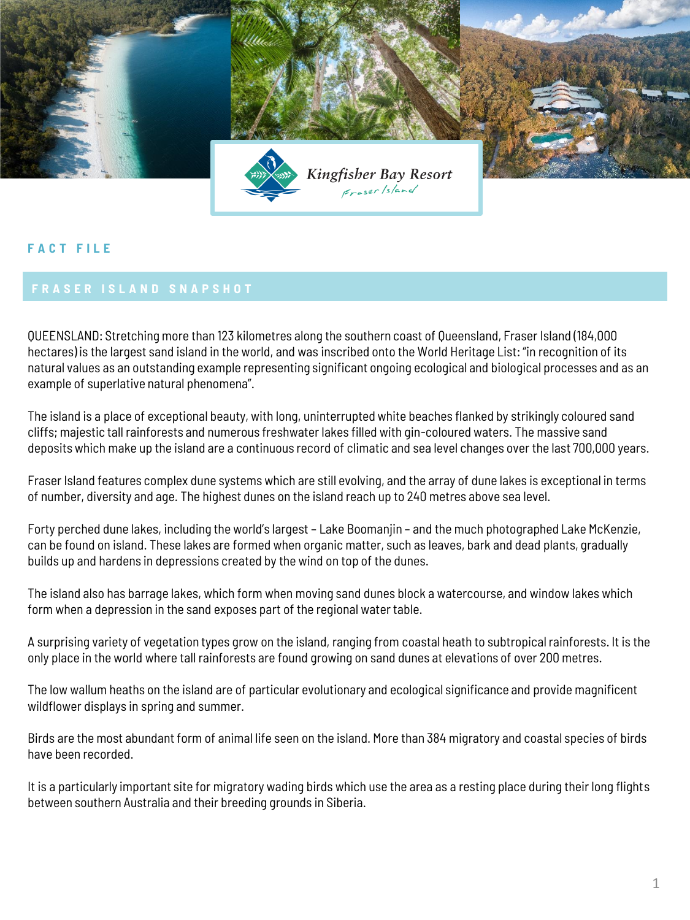

## **F A C T F I L E**

QUEENSLAND: Stretching more than 123 kilometres along the southern coast of Queensland, Fraser Island (184,000 hectares) is the largest sand island in the world, and was inscribed onto the World Heritage List: "in recognition of its natural values as an outstanding example representing significant ongoing ecological and biological processes and as an example of superlative natural phenomena".

The island is a place of exceptional beauty, with long, uninterrupted white beaches flanked by strikingly coloured sand cliffs; majestic tall rainforests and numerous freshwater lakes filled with gin-coloured waters. The massive sand deposits which make up the island are a continuous record of climatic and sea level changes over the last 700,000 years.

Fraser Island features complex dune systems which are still evolving, and the array of dune lakes is exceptional in terms of number, diversity and age. The highest dunes on the island reach up to 240 metres above sea level.

Forty perched dune lakes, including the world's largest – Lake Boomanjin – and the much photographed Lake McKenzie, can be found on island. These lakes are formed when organic matter, such as leaves, bark and dead plants, gradually builds up and hardens in depressions created by the wind on top of the dunes.

The island also has barrage lakes, which form when moving sand dunes block a watercourse, and window lakes which form when a depression in the sand exposes part of the regional water table.

A surprising variety of vegetation types grow on the island, ranging from coastal heath to subtropical rainforests. It is the only place in the world where tall rainforests are found growing on sand dunes at elevations of over 200 metres.

The low wallum heaths on the island are of particular evolutionary and ecological significance and provide magnificent wildflower displays in spring and summer.

Birds are the most abundant form of animal life seen on the island. More than 384 migratory and coastal species of birds have been recorded.

It is a particularly important site for migratory wading birds which use the area as a resting place during their long flights between southern Australia and their breeding grounds in Siberia.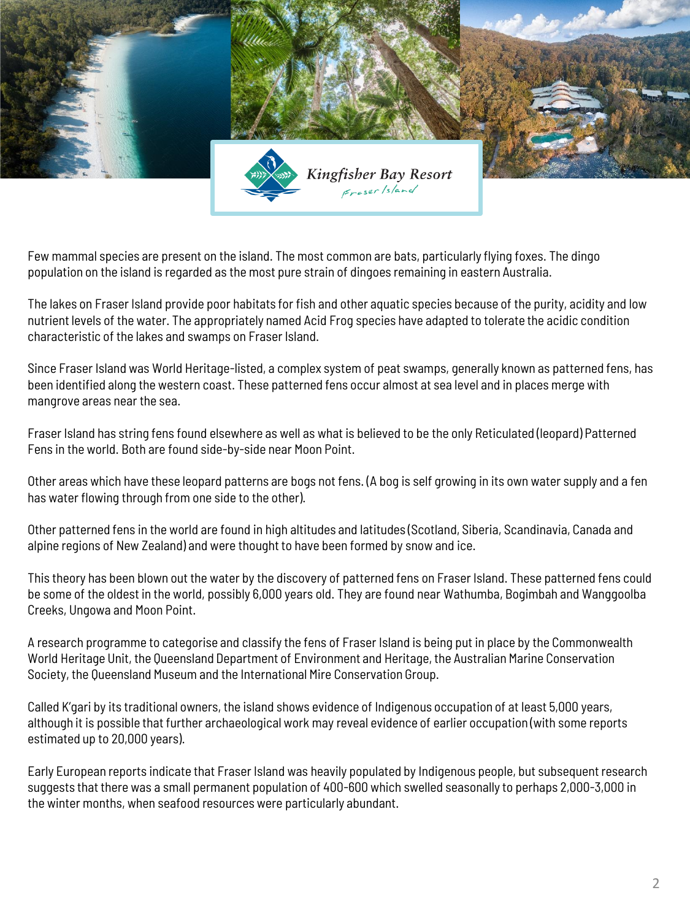

Few mammal species are present on the island. The most common are bats, particularly flying foxes. The dingo population on the island is regarded as the most pure strain of dingoes remaining in eastern Australia.

The lakes on Fraser Island provide poor habitats for fish and other aquatic species because of the purity, acidity and low nutrient levels of the water. The appropriately named Acid Frog species have adapted to tolerate the acidic condition characteristic of the lakes and swamps on Fraser Island.

Since Fraser Island was World Heritage-listed, a complex system of peat swamps, generally known as patterned fens, has been identified along the western coast. These patterned fens occur almost at sea level and in places merge with mangrove areas near the sea.

Fraser Island has string fens found elsewhere as well as what is believed to be the only Reticulated (leopard) Patterned Fens in the world. Both are found side-by-side near Moon Point.

Other areas which have these leopard patterns are bogs not fens. (A bog is self growing in its own water supply and a fen has water flowing through from one side to the other).

Other patterned fens in the world are found in high altitudes and latitudes (Scotland, Siberia, Scandinavia, Canada and alpine regions of New Zealand) and were thought to have been formed by snow and ice.

This theory has been blown out the water by the discovery of patterned fens on Fraser Island. These patterned fens could be some of the oldest in the world, possibly 6,000 years old. They are found near Wathumba, Bogimbah and Wanggoolba Creeks, Ungowa and Moon Point.

A research programme to categorise and classify the fens of Fraser Island is being put in place by the Commonwealth World Heritage Unit, the Queensland Department of Environment and Heritage, the Australian Marine Conservation Society, the Queensland Museum and the International Mire Conservation Group.

Called K'gari by its traditional owners, the island shows evidence of Indigenous occupation of at least 5,000 years, although it is possible that further archaeological work may reveal evidence of earlier occupation (with some reports estimated up to 20,000 years).

Early European reports indicate that Fraser Island was heavily populated by Indigenous people, but subsequent research suggests that there was a small permanent population of 400-600 which swelled seasonally to perhaps 2,000-3,000 in the winter months, when seafood resources were particularly abundant.